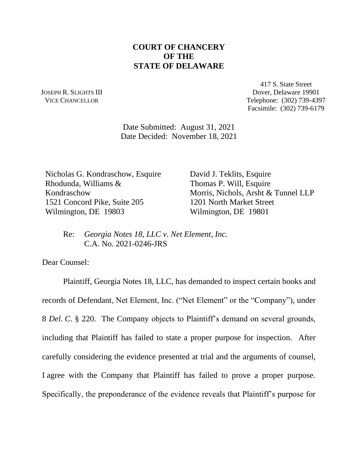## **COURT OF CHANCERY OF THE STATE OF DELAWARE**

JOSEPH R. SLIGHTS III VICE CHANCELLOR

417 S. State Street Dover, Delaware 19901 Telephone: (302) 739-4397 Facsimile: (302) 739-6179

Date Submitted: August 31, 2021 Date Decided: November 18, 2021

Nicholas G. Kondraschow, Esquire Rhodunda, Williams & Kondraschow 1521 Concord Pike, Suite 205 Wilmington, DE 19803

David J. Teklits, Esquire Thomas P. Will, Esquire Morris, Nichols, Arsht & Tunnel LLP 1201 North Market Street Wilmington, DE 19801

### Re: *Georgia Notes 18, LLC v. Net Element, Inc.* C.A. No. 2021-0246-JRS

Dear Counsel:

Plaintiff, Georgia Notes 18, LLC, has demanded to inspect certain books and records of Defendant, Net Element, Inc. ("Net Element" or the "Company"), under 8 *Del. C*. § 220. The Company objects to Plaintiff's demand on several grounds, including that Plaintiff has failed to state a proper purpose for inspection. After carefully considering the evidence presented at trial and the arguments of counsel, I agree with the Company that Plaintiff has failed to prove a proper purpose. Specifically, the preponderance of the evidence reveals that Plaintiff's purpose for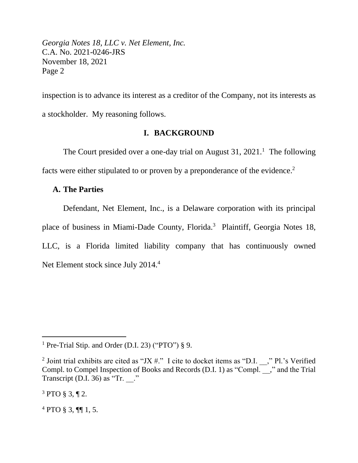inspection is to advance its interest as a creditor of the Company, not its interests as a stockholder. My reasoning follows.

# **I. BACKGROUND**

The Court presided over a one-day trial on August  $31, 2021$ .<sup>1</sup> The following facts were either stipulated to or proven by a preponderance of the evidence.<sup>2</sup>

## **A. The Parties**

Defendant, Net Element, Inc., is a Delaware corporation with its principal place of business in Miami-Dade County, Florida.<sup>3</sup> Plaintiff, Georgia Notes 18, LLC, is a Florida limited liability company that has continuously owned Net Element stock since July 2014.<sup>4</sup>

 $4$  PTO § 3, ¶[ 1, 5.

<sup>&</sup>lt;sup>1</sup> Pre-Trial Stip. and Order (D.I. 23) ("PTO")  $\S$  9.

<sup>&</sup>lt;sup>2</sup> Joint trial exhibits are cited as "JX #." I cite to docket items as "D.I.  $\cdot$ ," Pl.'s Verified Compl. to Compel Inspection of Books and Records (D.I. 1) as "Compl. \_\_," and the Trial Transcript  $(D.I. 36)$  as "Tr.  $\cdot$ "

 $3$  PTO § 3, ¶ 2.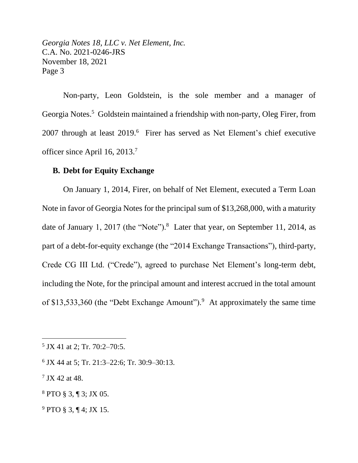Non-party, Leon Goldstein, is the sole member and a manager of Georgia Notes.<sup>5</sup> Goldstein maintained a friendship with non-party, Oleg Firer, from 2007 through at least 2019.<sup>6</sup> Firer has served as Net Element's chief executive officer since April 16, 2013.<sup>7</sup>

#### **B. Debt for Equity Exchange**

On January 1, 2014, Firer, on behalf of Net Element, executed a Term Loan Note in favor of Georgia Notes for the principal sum of \$13,268,000, with a maturity date of January 1, 2017 (the "Note").<sup>8</sup> Later that year, on September 11, 2014, as part of a debt-for-equity exchange (the "2014 Exchange Transactions"), third-party, Crede CG III Ltd. ("Crede"), agreed to purchase Net Element's long-term debt, including the Note, for the principal amount and interest accrued in the total amount of \$13,533,360 (the "Debt Exchange Amount").<sup>9</sup> At approximately the same time

6 JX 44 at 5; Tr. 21:3–22:6; Tr. 30:9–30:13.

7 JX 42 at 48.

<sup>8</sup> PTO § 3, ¶ 3; JX 05.

<sup>9</sup> PTO § 3, ¶ 4; JX 15.

 $<sup>5</sup>$  JX 41 at 2; Tr. 70:2–70:5.</sup>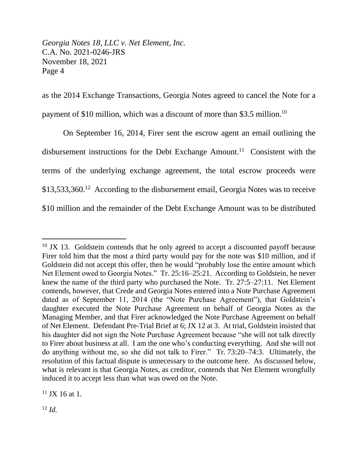as the 2014 Exchange Transactions, Georgia Notes agreed to cancel the Note for a payment of \$10 million, which was a discount of more than \$3.5 million.<sup>10</sup>

On September 16, 2014, Firer sent the escrow agent an email outlining the disbursement instructions for the Debt Exchange Amount.<sup>11</sup> Consistent with the terms of the underlying exchange agreement, the total escrow proceeds were  $$13,533,360$ <sup>12</sup> According to the disbursement email, Georgia Notes was to receive \$10 million and the remainder of the Debt Exchange Amount was to be distributed

 $11$  JX 16 at 1.

<sup>12</sup> *Id.*

 $10$  JX 13. Goldstein contends that he only agreed to accept a discounted payoff because Firer told him that the most a third party would pay for the note was \$10 million, and if Goldstein did not accept this offer, then he would "probably lose the entire amount which Net Element owed to Georgia Notes." Tr. 25:16–25:21. According to Goldstein, he never knew the name of the third party who purchased the Note. Tr. 27:5–27:11. Net Element contends, however, that Crede and Georgia Notes entered into a Note Purchase Agreement dated as of September 11, 2014 (the "Note Purchase Agreement"), that Goldstein's daughter executed the Note Purchase Agreement on behalf of Georgia Notes as the Managing Member, and that Firer acknowledged the Note Purchase Agreement on behalf of Net Element. Defendant Pre-Trial Brief at 6; JX 12 at 3. At trial, Goldstein insisted that his daughter did not sign the Note Purchase Agreement because "she will not talk directly to Firer about business at all. I am the one who's conducting everything. And she will not do anything without me, so she did not talk to Firer." Tr. 73:20–74:3. Ultimately, the resolution of this factual dispute is unnecessary to the outcome here. As discussed below, what is relevant is that Georgia Notes, as creditor, contends that Net Element wrongfully induced it to accept less than what was owed on the Note.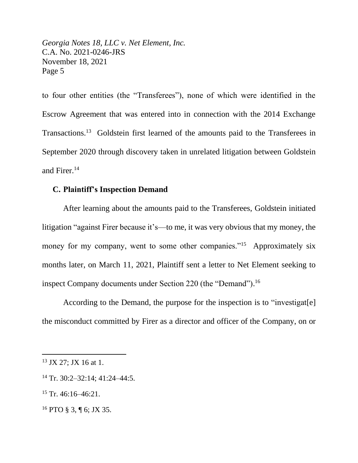to four other entities (the "Transferees"), none of which were identified in the Escrow Agreement that was entered into in connection with the 2014 Exchange Transactions.<sup>13</sup> Goldstein first learned of the amounts paid to the Transferees in September 2020 through discovery taken in unrelated litigation between Goldstein and Firer.<sup>14</sup>

### **C. Plaintiff's Inspection Demand**

After learning about the amounts paid to the Transferees, Goldstein initiated litigation "against Firer because it's—to me, it was very obvious that my money, the money for my company, went to some other companies."<sup>15</sup> Approximately six months later, on March 11, 2021, Plaintiff sent a letter to Net Element seeking to inspect Company documents under Section 220 (the "Demand").<sup>16</sup>

According to the Demand, the purpose for the inspection is to "investigat[e] the misconduct committed by Firer as a director and officer of the Company, on or

<sup>13</sup> JX 27; JX 16 at 1.

<sup>14</sup> Tr. 30:2–32:14; 41:24–44:5.

 $15$  Tr. 46:16-46:21.

<sup>16</sup> PTO § 3, ¶ 6; JX 35.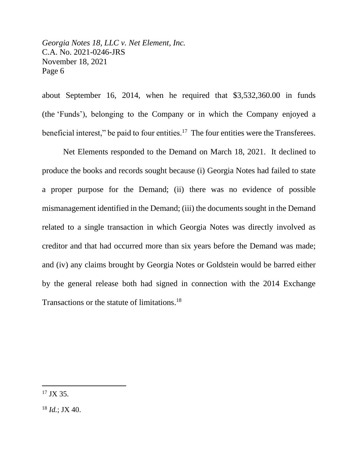about September 16, 2014, when he required that \$3,532,360.00 in funds (the 'Funds'), belonging to the Company or in which the Company enjoyed a beneficial interest," be paid to four entities.<sup>17</sup> The four entities were the Transferees.

Net Elements responded to the Demand on March 18, 2021. It declined to produce the books and records sought because (i) Georgia Notes had failed to state a proper purpose for the Demand; (ii) there was no evidence of possible mismanagement identified in the Demand; (iii) the documents sought in the Demand related to a single transaction in which Georgia Notes was directly involved as creditor and that had occurred more than six years before the Demand was made; and (iv) any claims brought by Georgia Notes or Goldstein would be barred either by the general release both had signed in connection with the 2014 Exchange Transactions or the statute of limitations. 18

 $17$  JX 35.

 $18$  *Id.*; JX 40.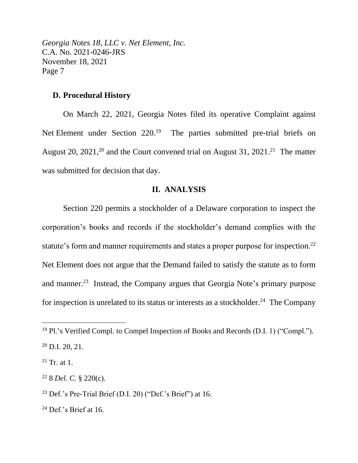## **D. Procedural History**

On March 22, 2021, Georgia Notes filed its operative Complaint against Net Element under Section 220.<sup>19</sup> The parties submitted pre-trial briefs on August 20, 2021,<sup>20</sup> and the Court convened trial on August 31, 2021.<sup>21</sup> The matter was submitted for decision that day.

#### **II. ANALYSIS**

Section 220 permits a stockholder of a Delaware corporation to inspect the corporation's books and records if the stockholder's demand complies with the statute's form and manner requirements and states a proper purpose for inspection.<sup>22</sup> Net Element does not argue that the Demand failed to satisfy the statute as to form and manner.<sup>23</sup> Instead, the Company argues that Georgia Note's primary purpose for inspection is unrelated to its status or interests as a stockholder.<sup>24</sup> The Company

<sup>19</sup> Pl.'s Verified Compl. to Compel Inspection of Books and Records (D.I. 1) ("Compl.").  $^{20}$  D.I. 20, 21.

 $^{21}$  Tr. at 1.

<sup>22</sup> 8 *Del. C.* § 220(c).

<sup>&</sup>lt;sup>23</sup> Def.'s Pre-Trial Brief (D.I. 20) ("Def.'s Brief") at 16.

 $24$  Def.'s Brief at 16.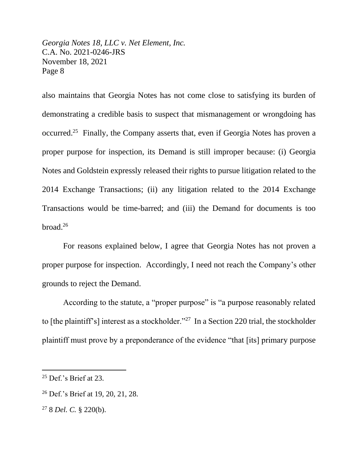also maintains that Georgia Notes has not come close to satisfying its burden of demonstrating a credible basis to suspect that mismanagement or wrongdoing has occurred.<sup>25</sup> Finally, the Company asserts that, even if Georgia Notes has proven a proper purpose for inspection, its Demand is still improper because: (i) Georgia Notes and Goldstein expressly released their rights to pursue litigation related to the 2014 Exchange Transactions; (ii) any litigation related to the 2014 Exchange Transactions would be time-barred; and (iii) the Demand for documents is too broad. $26$ 

For reasons explained below, I agree that Georgia Notes has not proven a proper purpose for inspection. Accordingly, I need not reach the Company's other grounds to reject the Demand.

According to the statute, a "proper purpose" is "a purpose reasonably related to [the plaintiff's] interest as a stockholder."<sup>27</sup> In a Section 220 trial, the stockholder plaintiff must prove by a preponderance of the evidence "that [its] primary purpose

 $25$  Def.'s Brief at 23.

<sup>26</sup> Def.'s Brief at 19, 20, 21, 28.

<sup>27</sup> 8 *Del. C.* § 220(b).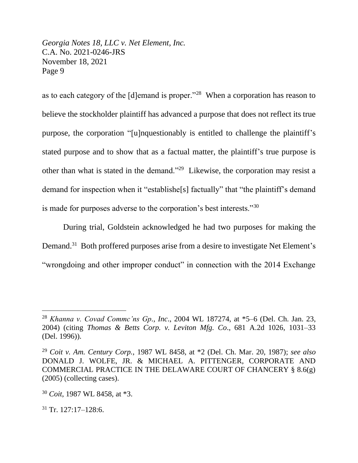as to each category of the [d]emand is proper."<sup>28</sup> When a corporation has reason to believe the stockholder plaintiff has advanced a purpose that does not reflect its true purpose, the corporation "[u]nquestionably is entitled to challenge the plaintiff's stated purpose and to show that as a factual matter, the plaintiff's true purpose is other than what is stated in the demand."<sup>29</sup> Likewise, the corporation may resist a demand for inspection when it "establishe[s] factually" that "the plaintiff's demand is made for purposes adverse to the corporation's best interests."<sup>30</sup>

During trial, Goldstein acknowledged he had two purposes for making the Demand.<sup>31</sup> Both proffered purposes arise from a desire to investigate Net Element's "wrongdoing and other improper conduct" in connection with the 2014 Exchange

 $31$  Tr. 127:17-128:6.

<sup>28</sup> *Khanna v. Covad Commc'ns Gp., Inc*., 2004 WL 187274, at \*5–6 (Del. Ch. Jan. 23, 2004) (citing *Thomas & Betts Corp. v. Leviton Mfg. Co*., 681 A.2d 1026, 1031–33 (Del. 1996)).

<sup>29</sup> *Coit v. Am. Century Corp.*, 1987 WL 8458, at \*2 (Del. Ch. Mar. 20, 1987); *see also*  DONALD J. WOLFE, JR. & MICHAEL A. PITTENGER, CORPORATE AND COMMERCIAL PRACTICE IN THE DELAWARE COURT OF CHANCERY  $\S$  8.6(g) (2005) (collecting cases).

<sup>30</sup> *Coit*, 1987 WL 8458, at \*3.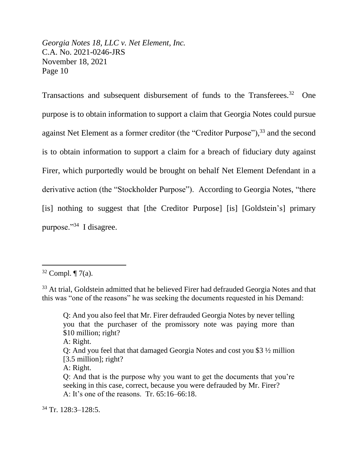Transactions and subsequent disbursement of funds to the Transferees.<sup>32</sup> One purpose is to obtain information to support a claim that Georgia Notes could pursue against Net Element as a former creditor (the "Creditor Purpose"),<sup>33</sup> and the second is to obtain information to support a claim for a breach of fiduciary duty against Firer, which purportedly would be brought on behalf Net Element Defendant in a derivative action (the "Stockholder Purpose"). According to Georgia Notes, "there [is] nothing to suggest that [the Creditor Purpose] [is] [Goldstein's] primary purpose."<sup>34</sup> I disagree.

A: Right.

Q: And you feel that that damaged Georgia Notes and cost you \$3 ½ million [3.5 million]; right?

A: Right.

 $34$  Tr. 128:3-128:5.

 $32$  Compl.  $\P$  7(a).

<sup>&</sup>lt;sup>33</sup> At trial, Goldstein admitted that he believed Firer had defrauded Georgia Notes and that this was "one of the reasons" he was seeking the documents requested in his Demand:

Q: And you also feel that Mr. Firer defrauded Georgia Notes by never telling you that the purchaser of the promissory note was paying more than \$10 million; right?

Q: And that is the purpose why you want to get the documents that you're seeking in this case, correct, because you were defrauded by Mr. Firer? A: It's one of the reasons. Tr. 65:16–66:18.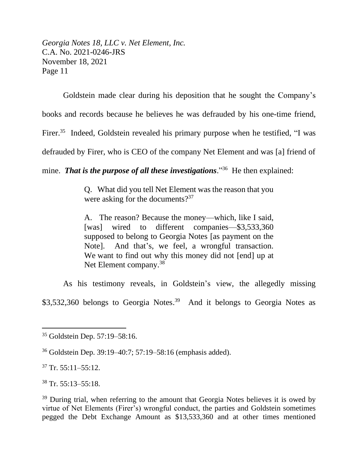Goldstein made clear during his deposition that he sought the Company's books and records because he believes he was defrauded by his one-time friend, Firer.<sup>35</sup> Indeed, Goldstein revealed his primary purpose when he testified, "I was defrauded by Firer, who is CEO of the company Net Element and was [a] friend of

mine. *That is the purpose of all these investigations*."<sup>36</sup> He then explained:

Q. What did you tell Net Element was the reason that you were asking for the documents?<sup>37</sup>

A. The reason? Because the money—which, like I said, [was] wired to different companies—\$3,533,360 supposed to belong to Georgia Notes [as payment on the Note]. And that's, we feel, a wrongful transaction. We want to find out why this money did not [end] up at Net Element company.<sup>38</sup>

As his testimony reveals, in Goldstein's view, the allegedly missing \$3,532,360 belongs to Georgia Notes.<sup>39</sup> And it belongs to Georgia Notes as

 $37$  Tr. 55:11-55:12.

 $38$  Tr. 55:13-55:18.

<sup>35</sup> Goldstein Dep. 57:19–58:16.

<sup>36</sup> Goldstein Dep. 39:19–40:7; 57:19–58:16 (emphasis added).

 $39$  During trial, when referring to the amount that Georgia Notes believes it is owed by virtue of Net Elements (Firer's) wrongful conduct, the parties and Goldstein sometimes pegged the Debt Exchange Amount as \$13,533,360 and at other times mentioned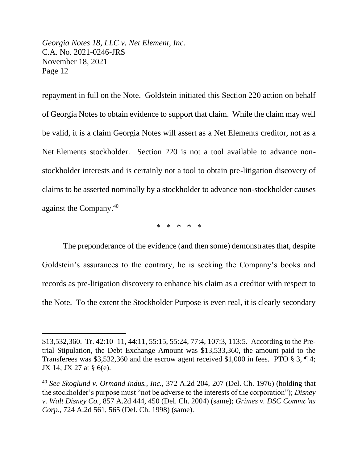repayment in full on the Note. Goldstein initiated this Section 220 action on behalf of Georgia Notes to obtain evidence to support that claim. While the claim may well be valid, it is a claim Georgia Notes will assert as a Net Elements creditor, not as a Net Elements stockholder. Section 220 is not a tool available to advance nonstockholder interests and is certainly not a tool to obtain pre-litigation discovery of claims to be asserted nominally by a stockholder to advance non-stockholder causes against the Company. 40

\* \* \* \* \*

The preponderance of the evidence (and then some) demonstrates that, despite Goldstein's assurances to the contrary, he is seeking the Company's books and records as pre-litigation discovery to enhance his claim as a creditor with respect to the Note. To the extent the Stockholder Purpose is even real, it is clearly secondary

<sup>\$13,532,360.</sup> Tr. 42:10–11, 44:11, 55:15, 55:24, 77:4, 107:3, 113:5. According to the Pretrial Stipulation, the Debt Exchange Amount was \$13,533,360, the amount paid to the Transferees was \$3,532,360 and the escrow agent received \$1,000 in fees. PTO § 3, ¶ 4; JX 14; JX 27 at § 6(e).

<sup>40</sup> *See Skoglund v. Ormand Indus., Inc.*, 372 A.2d 204, 207 (Del. Ch. 1976) (holding that the stockholder's purpose must "not be adverse to the interests of the corporation"); *Disney v. Walt Disney Co.*, 857 A.2d 444, 450 (Del. Ch. 2004) (same); *Grimes v. DSC Commc'ns Corp.*, 724 A.2d 561, 565 (Del. Ch. 1998) (same).